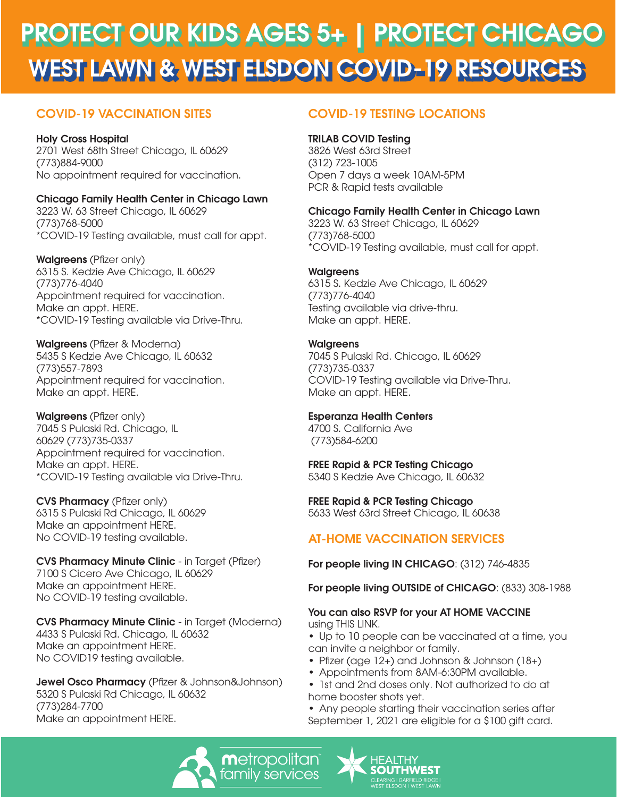# WEST LAWN & WEST ELSDON COVID-19 RESOURCES PROTECT OUR KIDS AGES 5+ | PROTECT CHICAGO

# COVID-19 VACCINATION SITES

# Holy Cross Hospital

2701 West 68th Street Chicago, IL 60629 (773)884-9000 No appointment required for vaccination.

## Chicago Family Health Center in Chicago Lawn

3223 W. 63 Street Chicago, IL 60629 (773)768-5000 \*COVID-19 Testing available, must call for appt.

Walgreens (Pfizer only) 6315 S. Kedzie Ave Chicago, IL 60629 (773)776-4040 Appointment required for vaccination. [Make an appt. HERE.](https://www.walgreens.com/findcare/vaccination/covid/19/landing?vaccineType=covid?ban=R122_covidboosters_header_scheduler) \*COVID-19 Testing available via Drive-Thru.

Walgreens (Pfizer & Moderna) 5435 S Kedzie Ave Chicago, IL 60632 (773)557-7893 Appointment required for vaccination. [Make an appt. HERE.](https://www.walgreens.com/findcare/vaccination/covid/19/landing?vaccineType=covid?ban=R122_covidboosters_header_scheduler)

Walgreens (Pfizer only) 7045 S Pulaski Rd. Chicago, IL 60629 (773)735-0337 Appointment required for vaccination. [Make an appt. HERE.](https://www.walgreens.com/findcare/vaccination/covid/19/landing?vaccineType=covid?ban=R122_covidboosters_header_scheduler) \*COVID-19 Testing available via Drive-Thru.

CVS Pharmacy (Pfizer only) 6315 S Pulaski Rd Chicago, IL 60629 [Make an appointment HERE.](https://www.cvs.com/vaccine/intake/store/covid-screener/covid-qns)  No COVID-19 testing available.

CVS Pharmacy Minute Clinic - in Target (Pfizer) 7100 S Cicero Ave Chicago, IL 60629 [Make an appointment HERE.](https://www.cvs.com/vaccine/intake/store/covid-screener/covid-qns)  No COVID-19 testing available.

CVS Pharmacy Minute Clinic - in Target (Moderna) 4433 S Pulaski Rd. Chicago, IL 60632 [Make an appointment HERE.](https://www.cvs.com/vaccine/intake/store/covid-screener/covid-qns)  No COVID19 testing available.

Jewel Osco Pharmacy (Pfizer & Johnson&Johnson) 5320 S Pulaski Rd Chicago, IL 60632 (773)284-7700 [Make an appointment HERE.](https://www.jewelosco.com/vaccinations/home)

# COVID-19 TESTING LOCATIONS

## TRILAB COVID Testing

3826 West 63rd Street (312) 723-1005 Open 7 days a week 10AM-5PM PCR & Rapid tests available

## Chicago Family Health Center in Chicago Lawn

3223 W. 63 Street Chicago, IL 60629 (773)768-5000 \*COVID-19 Testing available, must call for appt.

### **Walgreens**

6315 S. Kedzie Ave Chicago, IL 60629 (773)776-4040 Testing available via drive-thru. [Make an appt. HERE.](https://www.walgreens.com/findcare/covid19/testing)

### **Walgreens**

7045 S Pulaski Rd. Chicago, IL 60629 (773)735-0337 COVID-19 Testing available via Drive-Thru. [Make an appt. HERE.](https://www.walgreens.com/findcare/covid19/testing)

### Esperanza Health Centers

4700 S. California Ave (773)584-6200

## FREE Rapid & PCR Testing Chicago

5340 S Kedzie Ave Chicago, IL 60632

### FREE Rapid & PCR Testing Chicago

5633 West 63rd Street Chicago, IL 60638

# AT-HOME VACCINATION SERVICES

For people living IN CHICAGO: (312) 746-4835

For people living OUTSIDE of CHICAGO: (833) 308-1988

#### You can also RSVP for your AT HOME VACCINE using THIS LINK.

• [Up to 10 people](https://www.chicago.gov/city/en/sites/covid19-vaccine/home/in-home-vaccination-program.html) can be vaccinated at a time, you can invite a neighbor or family.

- Pfizer (age 12+) and Johnson & Johnson (18+)
- Appointments from 8AM-6:30PM available.
- 1st and 2nd doses only. Not authorized to do at home booster shots yet.

• Any people starting their vaccination series after September 1, 2021 are eligible for a \$100 gift card.